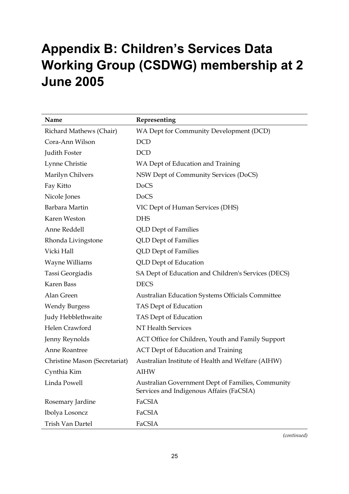## **Appendix B: Children's Services Data Working Group (CSDWG) membership at 2 June 2005**

| Name                          | Representing                                                                                  |
|-------------------------------|-----------------------------------------------------------------------------------------------|
| Richard Mathews (Chair)       | WA Dept for Community Development (DCD)                                                       |
| Cora-Ann Wilson               | <b>DCD</b>                                                                                    |
| Judith Foster                 | <b>DCD</b>                                                                                    |
| Lynne Christie                | WA Dept of Education and Training                                                             |
| Marilyn Chilvers              | NSW Dept of Community Services (DoCS)                                                         |
| Fay Kitto                     | <b>DoCS</b>                                                                                   |
| Nicole Jones                  | <b>DoCS</b>                                                                                   |
| Barbara Martin                | VIC Dept of Human Services (DHS)                                                              |
| Karen Weston                  | <b>DHS</b>                                                                                    |
| Anne Reddell                  | <b>QLD</b> Dept of Families                                                                   |
| Rhonda Livingstone            | <b>QLD</b> Dept of Families                                                                   |
| Vicki Hall                    | <b>QLD</b> Dept of Families                                                                   |
| Wayne Williams                | <b>QLD</b> Dept of Education                                                                  |
| Tassi Georgiadis              | SA Dept of Education and Children's Services (DECS)                                           |
| <b>Karen Bass</b>             | <b>DECS</b>                                                                                   |
| Alan Green                    | <b>Australian Education Systems Officials Committee</b>                                       |
| <b>Wendy Burgess</b>          | TAS Dept of Education                                                                         |
| Judy Hebblethwaite            | TAS Dept of Education                                                                         |
| Helen Crawford                | NT Health Services                                                                            |
| Jenny Reynolds                | ACT Office for Children, Youth and Family Support                                             |
| Anne Roantree                 | <b>ACT Dept of Education and Training</b>                                                     |
| Christine Mason (Secretariat) | Australian Institute of Health and Welfare (AIHW)                                             |
| Cynthia Kim                   | <b>AIHW</b>                                                                                   |
| Linda Powell                  | Australian Government Dept of Families, Community<br>Services and Indigenous Affairs (FaCSIA) |
| Rosemary Jardine              | FaCSIA                                                                                        |
| Ibolya Losoncz                | FaCSIA                                                                                        |
| Trish Van Dartel              | FaCSIA                                                                                        |

*(continued)*